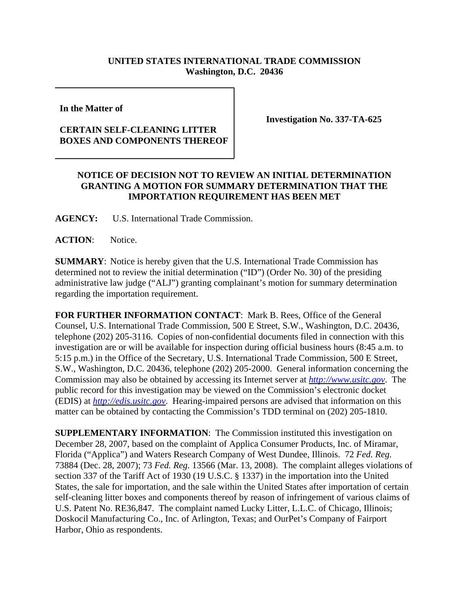## **UNITED STATES INTERNATIONAL TRADE COMMISSION Washington, D.C. 20436**

**In the Matter of** 

## **CERTAIN SELF-CLEANING LITTER BOXES AND COMPONENTS THEREOF**

**Investigation No. 337-TA-625**

## **NOTICE OF DECISION NOT TO REVIEW AN INITIAL DETERMINATION GRANTING A MOTION FOR SUMMARY DETERMINATION THAT THE IMPORTATION REQUIREMENT HAS BEEN MET**

**AGENCY:** U.S. International Trade Commission.

ACTION: Notice.

**SUMMARY**: Notice is hereby given that the U.S. International Trade Commission has determined not to review the initial determination ("ID") (Order No. 30) of the presiding administrative law judge ("ALJ") granting complainant's motion for summary determination regarding the importation requirement.

**FOR FURTHER INFORMATION CONTACT**: Mark B. Rees, Office of the General Counsel, U.S. International Trade Commission, 500 E Street, S.W., Washington, D.C. 20436, telephone (202) 205-3116. Copies of non-confidential documents filed in connection with this investigation are or will be available for inspection during official business hours (8:45 a.m. to 5:15 p.m.) in the Office of the Secretary, U.S. International Trade Commission, 500 E Street, S.W., Washington, D.C. 20436, telephone (202) 205-2000. General information concerning the Commission may also be obtained by accessing its Internet server at *http://www.usitc.gov*. The public record for this investigation may be viewed on the Commission's electronic docket (EDIS) at *http://edis.usitc.gov*. Hearing-impaired persons are advised that information on this matter can be obtained by contacting the Commission's TDD terminal on (202) 205-1810.

**SUPPLEMENTARY INFORMATION**: The Commission instituted this investigation on December 28, 2007, based on the complaint of Applica Consumer Products, Inc. of Miramar, Florida ("Applica") and Waters Research Company of West Dundee, Illinois. 72 *Fed. Reg.* 73884 (Dec. 28, 2007); 73 *Fed. Reg.* 13566 (Mar. 13, 2008). The complaint alleges violations of section 337 of the Tariff Act of 1930 (19 U.S.C. § 1337) in the importation into the United States, the sale for importation, and the sale within the United States after importation of certain self-cleaning litter boxes and components thereof by reason of infringement of various claims of U.S. Patent No. RE36,847. The complaint named Lucky Litter, L.L.C. of Chicago, Illinois; Doskocil Manufacturing Co., Inc. of Arlington, Texas; and OurPet's Company of Fairport Harbor, Ohio as respondents.